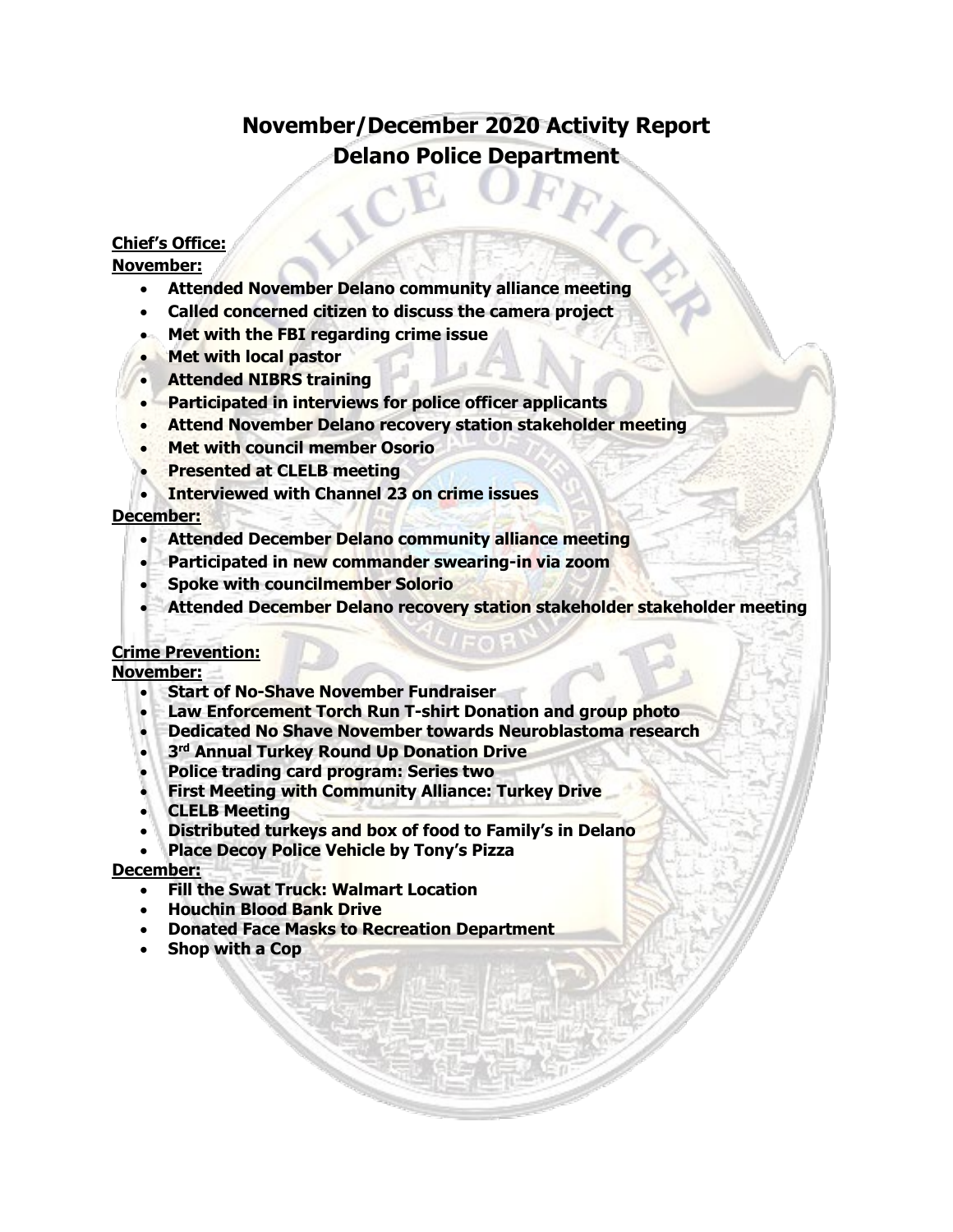# **November/December 2020 Activity Report Delano Police Department**

## **Chief's Office:**

## **November:**

- **Attended November Delano community alliance meeting**
- **Called concerned citizen to discuss the camera project**
- **Met with the FBI regarding crime issue**
- **Met with local pastor**
- **Attended NIBRS training**
- **Participated in interviews for police officer applicants**
- **Attend November Delano recovery station stakeholder meeting**
- **Met with council member Osorio**
- **Presented at CLELB meeting**
- **Interviewed with Channel 23 on crime issues**

## **December:**

- **Attended December Delano community alliance meeting**
- **Participated in new commander swearing-in via zoom**
- **Spoke with councilmember Solorio**
- **Attended December Delano recovery station stakeholder stakeholder meeting**

## **Crime Prevention:**

**November:**

- **Start of No-Shave November Fundraiser**
- **Law Enforcement Torch Run T-shirt Donation and group photo**
- **Dedicated No Shave November towards Neuroblastoma research**
- **3rd Annual Turkey Round Up Donation Drive**
- **Police trading card program: Series two**
- **First Meeting with Community Alliance: Turkey Drive**
- **CLELB Meeting**
- **Distributed turkeys and box of food to Family's in Delano**
- **Place Decoy Police Vehicle by Tony's Pizza**

## **December:**

- **Fill the Swat Truck: Walmart Location**
- **Houchin Blood Bank Drive**
- **Donated Face Masks to Recreation Department**
- **Shop with a Cop**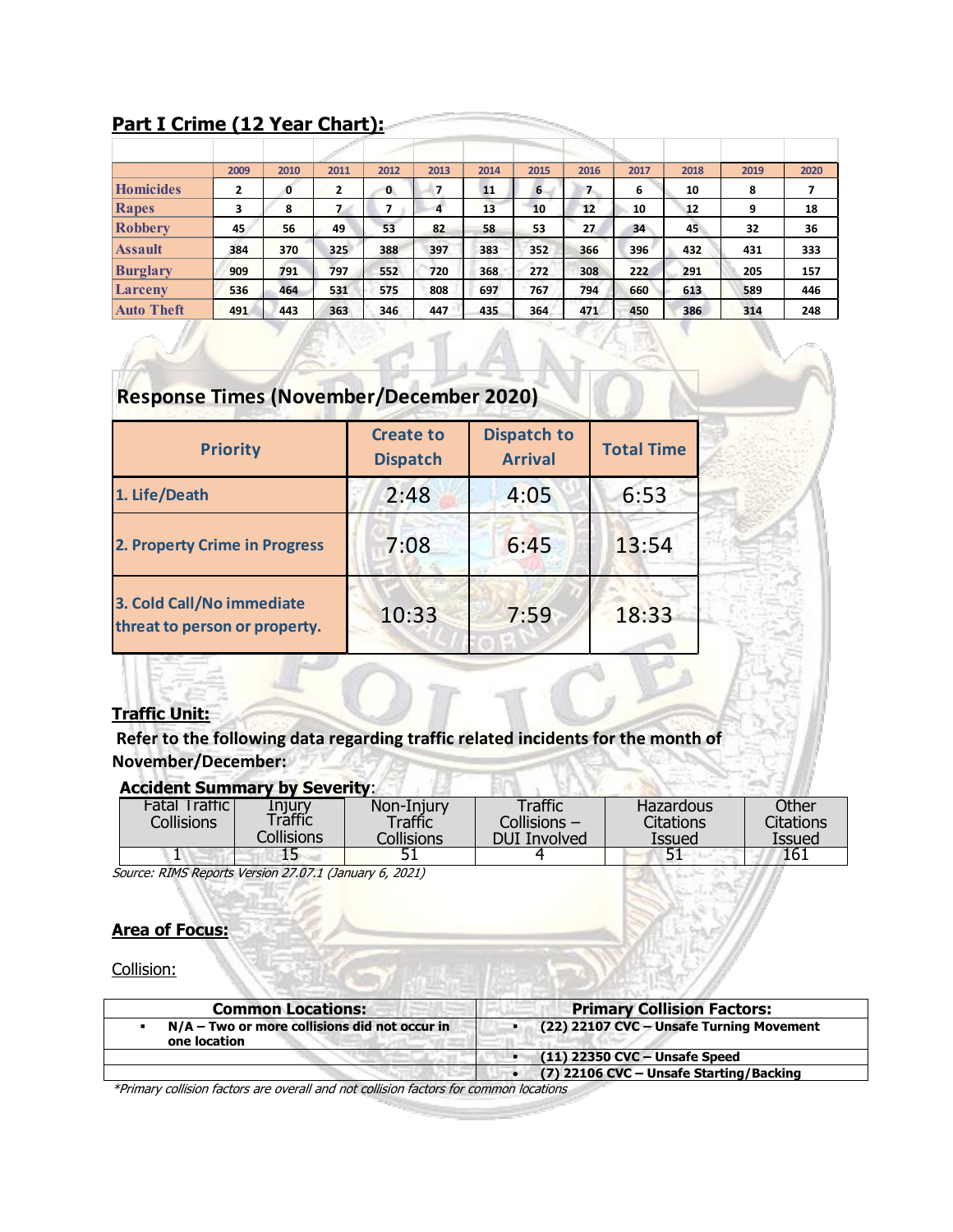# **Part I Crime (12 Year Chart):**

|                   | 2009           | 2010 | 2011           | 2012 | 2013           | 2014 | 2015 | 2016          | 2017 | 2018 | 2019 | 2020 |
|-------------------|----------------|------|----------------|------|----------------|------|------|---------------|------|------|------|------|
| <b>Homicides</b>  | $\overline{2}$ | o    | $\overline{2}$ | 0    | $\overline{7}$ | 11   | 6    | $\mathcal{L}$ | 6    | 10   | 8    |      |
| Rapes             | 3              | 8    | 7.             |      | 4              | 13   | 10   | 12            | 10   | 12   | 9    | 18   |
| <b>Robbery</b>    | 45.            | 56   | 49             | 53   | 82             | 58   | 53   | 27            | 34   | 45   | 32   | 36   |
| <b>Assault</b>    | 384            | 370  | 325            | 388  | 397            | 383  | 352  | 366           | 396  | 432  | 431  | 333  |
| <b>Burglary</b>   | 909            | 791  | 797            | 552  | 720            | 368  | 272  | 308           | 222  | 291  | 205  | 157  |
| Larceny           | 536            | 464  | 531            | 575  | 808            | 697  | 767  | 794           | 660  | 613  | 589  | 446  |
| <b>Auto Theft</b> | 491            | 443  | 363            | 346  | 447            | 435  | 364  | 471           | 450  | 386  | 314  | 248  |

# **Response Times (November/December 2020)**

| <b>Priority</b>                                            | <b>Create to</b><br><b>Dispatch</b> | <b>Dispatch to</b><br><b>Arrival</b> | <b>Total Time</b> |  |
|------------------------------------------------------------|-------------------------------------|--------------------------------------|-------------------|--|
| 1. Life/Death                                              | 2:48                                | 4:05                                 | 6:53              |  |
| <b>2. Property Crime in Progress</b>                       | 7:08                                | 6:45                                 | 13:54             |  |
| 3. Cold Call/No immediate<br>threat to person or property. | 10:33                               | 7:59                                 | 18:33             |  |

# **Traffic Unit:**

**Refer to the following data regarding traffic related incidents for the month of November/December:** 

# **Accident Summary by Severity**:

| <b>Fatal Traffic</b><br>Collisions | Injury<br>Traffic | Non-Injury<br>Traffic | Traffic<br>Collisions - | Hazardous<br><b>Citations</b> | Other<br>Citations |
|------------------------------------|-------------------|-----------------------|-------------------------|-------------------------------|--------------------|
|                                    | Collisions        | Collisions            | <b>DUI Involved</b>     | Issued                        | Issued             |
| л.                                 |                   | JI                    |                         | 51                            | 161                |

Source: RIMS Reports Version 27.07.1 (January 6, 2021)

## **Area of Focus:**

Collision:

| <b>Common Locations:</b>                                        | <b>Primary Collision Factors:</b>        |
|-----------------------------------------------------------------|------------------------------------------|
| $N/A$ – Two or more collisions did not occur in<br>one location | (22) 22107 CVC - Unsafe Turning Movement |
|                                                                 | (11) 22350 CVC - Unsafe Speed            |
|                                                                 | (7) 22106 CVC - Unsafe Starting/Backing  |

\*Primary collision factors are overall and not collision factors for common locations